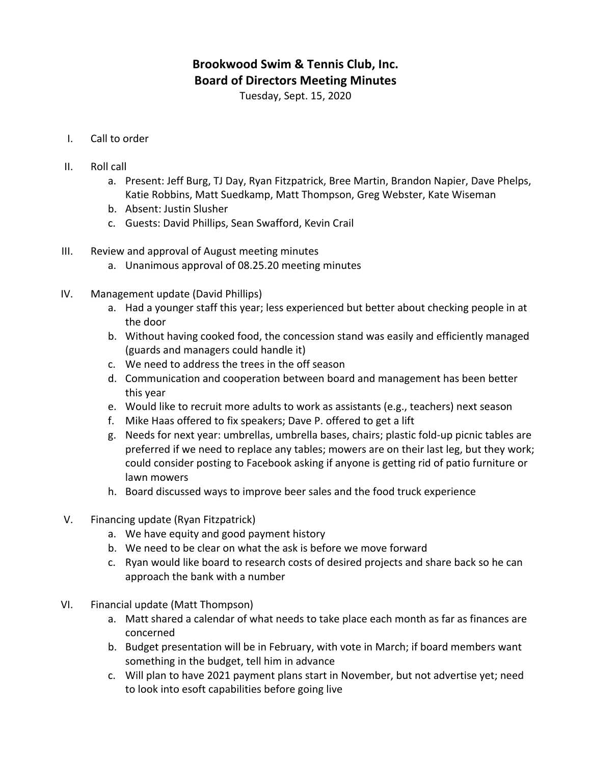## **Brookwood Swim & Tennis Club, Inc. Board of Directors Meeting Minutes**

Tuesday, Sept. 15, 2020

- I. Call to order
- II. Roll call
	- a. Present: Jeff Burg, TJ Day, Ryan Fitzpatrick, Bree Martin, Brandon Napier, Dave Phelps, Katie Robbins, Matt Suedkamp, Matt Thompson, Greg Webster, Kate Wiseman
	- b. Absent: Justin Slusher
	- c. Guests: David Phillips, Sean Swafford, Kevin Crail
- III. Review and approval of August meeting minutes
	- a. Unanimous approval of 08.25.20 meeting minutes
- IV. Management update (David Phillips)
	- a. Had a younger staff this year; less experienced but better about checking people in at the door
	- b. Without having cooked food, the concession stand was easily and efficiently managed (guards and managers could handle it)
	- c. We need to address the trees in the off season
	- d. Communication and cooperation between board and management has been better this year
	- e. Would like to recruit more adults to work as assistants (e.g., teachers) next season
	- f. Mike Haas offered to fix speakers; Dave P. offered to get a lift
	- g. Needs for next year: umbrellas, umbrella bases, chairs; plastic fold-up picnic tables are preferred if we need to replace any tables; mowers are on their last leg, but they work; could consider posting to Facebook asking if anyone is getting rid of patio furniture or lawn mowers
	- h. Board discussed ways to improve beer sales and the food truck experience
- V. Financing update (Ryan Fitzpatrick)
	- a. We have equity and good payment history
	- b. We need to be clear on what the ask is before we move forward
	- c. Ryan would like board to research costs of desired projects and share back so he can approach the bank with a number
- VI. Financial update (Matt Thompson)
	- a. Matt shared a calendar of what needs to take place each month as far as finances are concerned
	- b. Budget presentation will be in February, with vote in March; if board members want something in the budget, tell him in advance
	- c. Will plan to have 2021 payment plans start in November, but not advertise yet; need to look into esoft capabilities before going live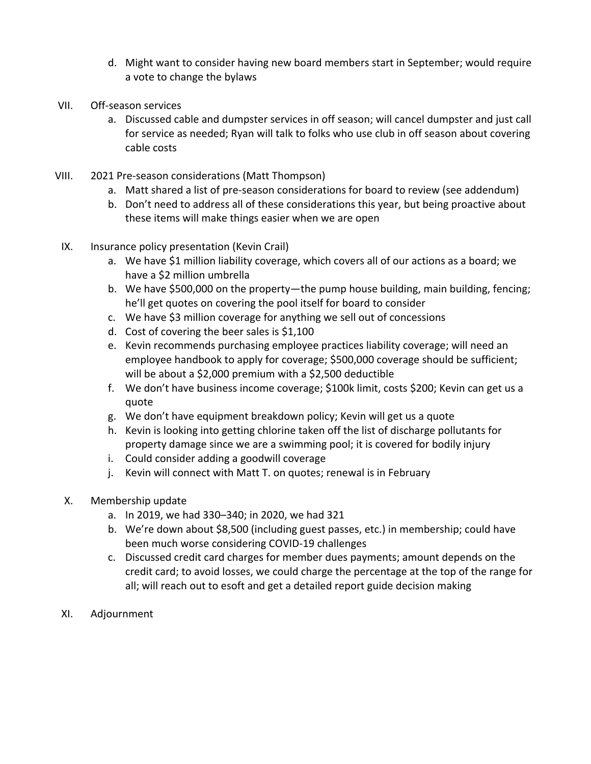- d. Might want to consider having new board members start in September; would require a vote to change the bylaws
- VII. Off-season services
	- a. Discussed cable and dumpster services in off season; will cancel dumpster and just call for service as needed; Ryan will talk to folks who use club in off season about covering cable costs
- VIII. 2021 Pre-season considerations (Matt Thompson)
	- a. Matt shared a list of pre-season considerations for board to review (see addendum)
	- b. Don't need to address all of these considerations this year, but being proactive about these items will make things easier when we are open
- IX. Insurance policy presentation (Kevin Crail)
	- a. We have \$1 million liability coverage, which covers all of our actions as a board; we have a \$2 million umbrella
	- b. We have \$500,000 on the property—the pump house building, main building, fencing; he'll get quotes on covering the pool itself for board to consider
	- c. We have \$3 million coverage for anything we sell out of concessions
	- d. Cost of covering the beer sales is  $$1,100$
	- e. Kevin recommends purchasing employee practices liability coverage; will need an employee handbook to apply for coverage; \$500,000 coverage should be sufficient; will be about a \$2,000 premium with a \$2,500 deductible
	- f. We don't have business income coverage; \$100k limit, costs \$200; Kevin can get us a quote
	- g. We don't have equipment breakdown policy; Kevin will get us a quote
	- h. Kevin is looking into getting chlorine taken off the list of discharge pollutants for property damage since we are a swimming pool; it is covered for bodily injury
	- i. Could consider adding a goodwill coverage
	- j. Kevin will connect with Matt T. on quotes; renewal is in February
- X. Membership update
	- a. In 2019, we had 330–340; in 2020, we had 321
	- b. We're down about \$8,500 (including guest passes, etc.) in membership; could have been much worse considering COVID-19 challenges
	- c. Discussed credit card charges for member dues payments; amount depends on the credit card; to avoid losses, we could charge the percentage at the top of the range for all; will reach out to esoft and get a detailed report guide decision making
- XI. Adjournment